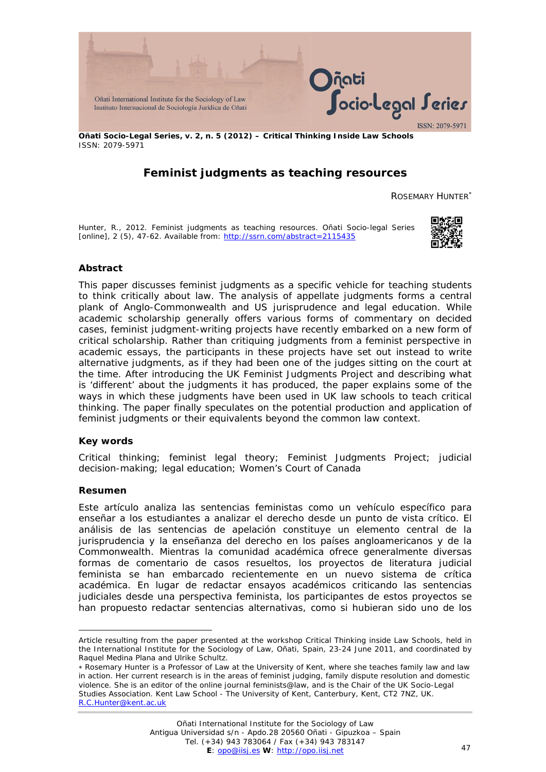

**Oñati Socio-Legal Series, v. 2, n. 5 (2012) – Critical Thinking Inside Law Schools** ISSN: 2079-5971

# **Feminist judgments as teaching resources**

ROSEMARY HUNTER<sup>\*</sup>

Hunter, R., 2012. Feminist judgments as teaching resources. *Oñati Socio-legal Series* [online], 2 (5), 47-62. Available from: <http://ssrn.com/abstract=2115435>



## **Abstract**

This paper discusses feminist judgments as a specific vehicle for teaching students to think critically about law. The analysis of appellate judgments forms a central plank of Anglo-Commonwealth and US jurisprudence and legal education. While academic scholarship generally offers various forms of commentary on decided cases, feminist judgment-writing projects have recently embarked on a new form of critical scholarship. Rather than critiquing judgments from a feminist perspective in academic essays, the participants in these projects have set out instead to write alternative judgments, as if they had been one of the judges sitting on the court at the time. After introducing the UK Feminist Judgments Project and describing what is 'different' about the judgments it has produced, the paper explains some of the ways in which these judgments have been used in UK law schools to teach critical thinking. The paper finally speculates on the potential production and application of feminist judgments or their equivalents beyond the common law context.

### **Key words**

Critical thinking; feminist legal theory; Feminist Judgments Project; judicial decision-making; legal education; Women's Court of Canada

### **Resumen**

-

Este artículo analiza las sentencias feministas como un vehículo específico para enseñar a los estudiantes a analizar el derecho desde un punto de vista crítico. El análisis de las sentencias de apelación constituye un elemento central de la jurisprudencia y la enseñanza del derecho en los países angloamericanos y de la Commonwealth. Mientras la comunidad académica ofrece generalmente diversas formas de comentario de casos resueltos, los proyectos de literatura judicial feminista se han embarcado recientemente en un nuevo sistema de crítica académica. En lugar de redactar ensayos académicos criticando las sentencias judiciales desde una perspectiva feminista, los participantes de estos proyectos se han propuesto redactar sentencias alternativas, como si hubieran sido uno de los

Article resulting from the paper presented at the workshop *Critical Thinking inside Law Schools*, held in the International Institute for the Sociology of Law, Oñati, Spain, 23-24 June 2011, and coordinated by Raquel Medina Plana and Ulrike Schultz.

<sup>∗</sup> Rosemary Hunter is a Professor of Law at the University of Kent, where she teaches family law and law in action. Her current research is in the areas of feminist judging, family dispute resolution and domestic violence. She is an editor of the online journal *feminists@law*, and is the Chair of the UK Socio-Legal Studies Association. Kent Law School - The University of Kent, Canterbury, Kent, CT2 7NZ, UK. [R.C.Hunter@kent.ac.uk](mailto:R.C.Hunter@kent.ac.uk)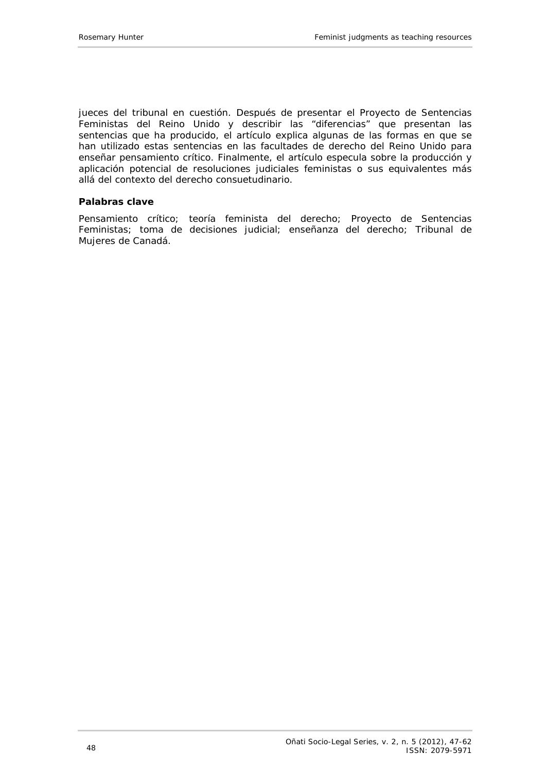jueces del tribunal en cuestión. Después de presentar el Proyecto de Sentencias Feministas del Reino Unido y describir las "diferencias" que presentan las sentencias que ha producido, el artículo explica algunas de las formas en que se han utilizado estas sentencias en las facultades de derecho del Reino Unido para enseñar pensamiento crítico. Finalmente, el artículo especula sobre la producción y aplicación potencial de resoluciones judiciales feministas o sus equivalentes más allá del contexto del derecho consuetudinario.

### **Palabras clave**

Pensamiento crítico; teoría feminista del derecho; Proyecto de Sentencias Feministas; toma de decisiones judicial; enseñanza del derecho; Tribunal de Mujeres de Canadá.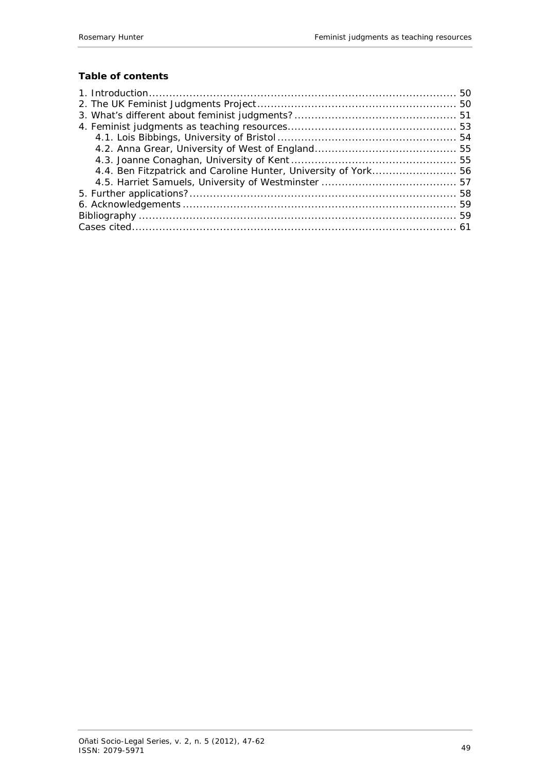# **Table of contents**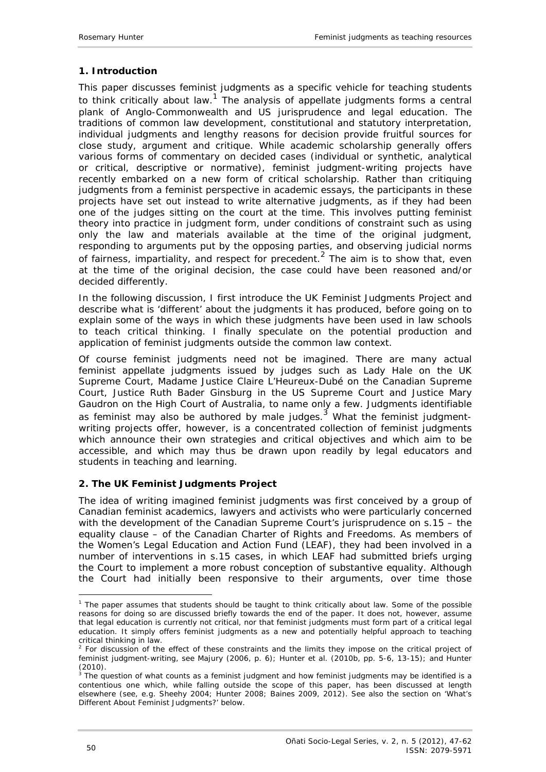## <span id="page-3-0"></span>**1. Introduction**

This paper discusses feminist judgments as a specific vehicle for teaching students to think critically about law.<sup>1</sup> The analysis of appellate judgments forms a central plank of Anglo-Commonwealth and US jurisprudence and legal education. The traditions of common law development, constitutional and statutory interpretation, individual judgments and lengthy reasons for decision provide fruitful sources for close study, argument and critique. While academic scholarship generally offers various forms of commentary on decided cases (individual or synthetic, analytical or critical, descriptive or normative), feminist judgment-writing projects have recently embarked on a new form of critical scholarship. Rather than critiquing judgments from a feminist perspective in academic essays, the participants in these projects have set out instead to write alternative judgments, as if they had been one of the judges sitting on the court at the time. This involves putting feminist theory into practice in judgment form, under conditions of constraint such as using only the law and materials available at the time of the original judgment, responding to arguments put by the opposing parties, and observing judicial norms of fairness, impartiality, and respect for precedent.<sup>2</sup> The aim is to show that, even at the time of the original decision, the case could have been reasoned and/or decided differently.

In the following discussion, I first introduce the UK Feminist Judgments Project and describe what is 'different' about the judgments it has produced, before going on to explain some of the ways in which these judgments have been used in law schools to teach critical thinking. I finally speculate on the potential production and application of feminist judgments outside the common law context.

Of course feminist judgments need not be imagined. There are many actual feminist appellate judgments issued by judges such as Lady Hale on the UK Supreme Court, Madame Justice Claire L'Heureux-Dubé on the Canadian Supreme Court, Justice Ruth Bader Ginsburg in the US Supreme Court and Justice Mary Gaudron on the High Court of Australia, to name only a few. Judgments identifiable as feminist may also be authored by male judges.<sup>3</sup> What the feminist judgmentwriting projects offer, however, is a concentrated collection of feminist judgments which announce their own strategies and critical objectives and which aim to be accessible, and which may thus be drawn upon readily by legal educators and students in teaching and learning.

## <span id="page-3-1"></span>**2. The UK Feminist Judgments Project**

The idea of writing imagined feminist judgments was first conceived by a group of Canadian feminist academics, lawyers and activists who were particularly concerned with the development of the Canadian Supreme Court's jurisprudence on s.15 – the equality clause – of the Canadian Charter of Rights and Freedoms. As members of the Women's Legal Education and Action Fund (LEAF), they had been involved in a number of interventions in s.15 cases, in which LEAF had submitted briefs urging the Court to implement a more robust conception of substantive equality. Although the Court had initially been responsive to their arguments, over time those

<sup>&</sup>lt;u>.</u> <sup>1</sup> The paper assumes that students *should* be taught to think critically about law. Some of the possible reasons for doing so are discussed briefly towards the end of the paper. It does not, however, assume that legal education is currently *not* critical, nor that feminist judgments *must* form part of a critical legal education. It simply offers feminist judgments as a new and potentially helpful approach to teaching critical thinking in law.

 $2$  For discussion of the effect of these constraints and the limits they impose on the critical project of feminist judgment-writing, see Majury (2006, p. 6); Hunter *et al.* (2010b, pp. 5-6, 13-15); and Hunter  $(2010)$ .

 $3$  The question of what counts as a feminist judgment and how feminist judgments may be identified is a contentious one which, while falling outside the scope of this paper, has been discussed at length elsewhere (see, e.g. Sheehy 2004; Hunter 2008; Baines 2009, 2012). See also the section on 'What's Different About Feminist Judgments?' below.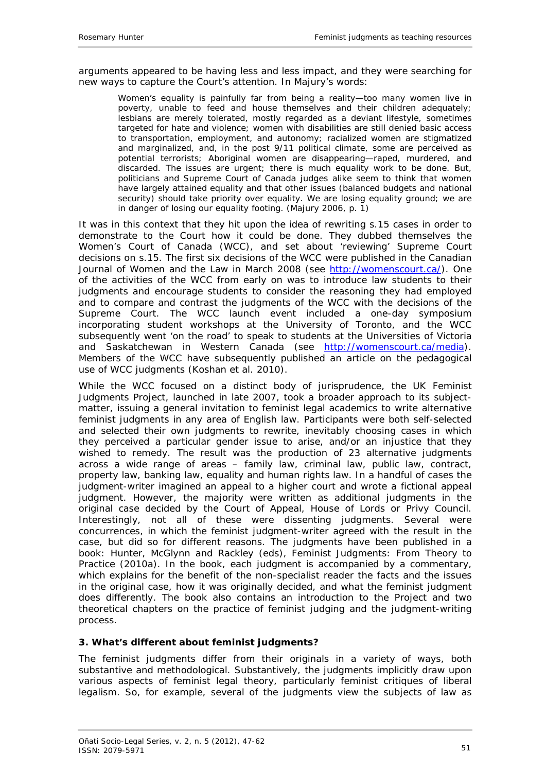arguments appeared to be having less and less impact, and they were searching for new ways to capture the Court's attention. In Majury's words:

Women's equality is painfully far from being a reality—too many women live in poverty, unable to feed and house themselves and their children adequately; lesbians are merely tolerated, mostly regarded as a deviant lifestyle, sometimes targeted for hate and violence; women with disabilities are still denied basic access to transportation, employment, and autonomy; racialized women are stigmatized and marginalized, and, in the post 9/11 political climate, some are perceived as potential terrorists; Aboriginal women are disappearing—raped, murdered, and discarded. The issues are urgent; there is much equality work to be done. But, politicians and Supreme Court of Canada judges alike seem to think that women have largely attained equality and that other issues (balanced budgets and national security) should take priority over equality. We are losing equality ground; we are in danger of losing our equality footing. (Majury 2006, p. 1)

It was in this context that they hit upon the idea of rewriting s.15 cases in order to demonstrate to the Court how it could be done. They dubbed themselves the Women's Court of Canada (WCC), and set about 'reviewing' Supreme Court decisions on s.15. The first six decisions of the WCC were published in the *Canadian*  Journal of Women and the Law in March 2008 (se[e http://womenscourt.ca/](http://womenscourt.ca/)). One of the activities of the WCC from early on was to introduce law students to their judgments and encourage students to consider the reasoning they had employed and to compare and contrast the judgments of the WCC with the decisions of the Supreme Court. The WCC launch event included a one-day symposium incorporating student workshops at the University of Toronto, and the WCC subsequently went 'on the road' to speak to students at the Universities of Victoria and Saskatchewan in Western Canada (see <http://womenscourt.ca/media>). Members of the WCC have subsequently published an article on the pedagogical use of WCC judgments (Koshan *et al.* 2010).

While the WCC focused on a distinct body of jurisprudence, the UK Feminist Judgments Project, launched in late 2007, took a broader approach to its subjectmatter, issuing a general invitation to feminist legal academics to write alternative feminist judgments in any area of English law. Participants were both self-selected and selected their own judgments to rewrite, inevitably choosing cases in which they perceived a particular gender issue to arise, and/or an injustice that they wished to remedy. The result was the production of 23 alternative judgments across a wide range of areas – family law, criminal law, public law, contract, property law, banking law, equality and human rights law. In a handful of cases the judgment-writer imagined an appeal to a higher court and wrote a fictional appeal judgment. However, the majority were written as additional judgments in the original case decided by the Court of Appeal, House of Lords or Privy Council. Interestingly, not all of these were dissenting judgments. Several were concurrences, in which the feminist judgment-writer agreed with the result in the case, but did so for different reasons. The judgments have been published in a book: Hunter, McGlynn and Rackley (eds), *Feminist Judgments: From Theory to Practice* (2010a). In the book, each judgment is accompanied by a commentary, which explains for the benefit of the non-specialist reader the facts and the issues in the original case, how it was originally decided, and what the feminist judgment does differently. The book also contains an introduction to the Project and two theoretical chapters on the practice of feminist judging and the judgment-writing process.

## <span id="page-4-0"></span>**3. What's different about feminist judgments?**

The feminist judgments differ from their originals in a variety of ways, both substantive and methodological. Substantively, the judgments implicitly draw upon various aspects of feminist legal theory, particularly feminist critiques of liberal legalism. So, for example, several of the judgments view the subjects of law as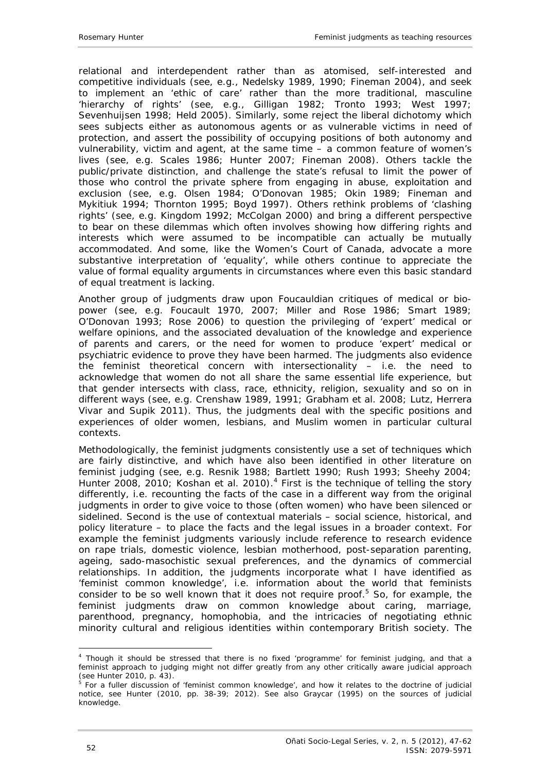relational and interdependent rather than as atomised, self-interested and competitive individuals (see, e.g., Nedelsky 1989, 1990; Fineman 2004), and seek to implement an 'ethic of care' rather than the more traditional, masculine 'hierarchy of rights' (see, e.g., Gilligan 1982; Tronto 1993; West 1997; Sevenhuijsen 1998; Held 2005). Similarly, some reject the liberal dichotomy which sees subjects either as autonomous agents or as vulnerable victims in need of protection, and assert the possibility of occupying positions of both autonomy and vulnerability, victim and agent, at the same time – a common feature of women's lives (see, e.g. Scales 1986; Hunter 2007; Fineman 2008). Others tackle the public/private distinction, and challenge the state's refusal to limit the power of those who control the private sphere from engaging in abuse, exploitation and exclusion (see, e.g. Olsen 1984; O'Donovan 1985; Okin 1989; Fineman and Mykitiuk 1994; Thornton 1995; Boyd 1997). Others rethink problems of 'clashing rights' (see, e.g. Kingdom 1992; McColgan 2000) and bring a different perspective to bear on these dilemmas which often involves showing how differing rights and interests which were assumed to be incompatible can actually be mutually accommodated. And some, like the Women's Court of Canada, advocate a more substantive interpretation of 'equality', while others continue to appreciate the value of formal equality arguments in circumstances where even this basic standard of equal treatment is lacking.

Another group of judgments draw upon Foucauldian critiques of medical or biopower (see, e.g. Foucault 1970, 2007; Miller and Rose 1986; Smart 1989; O'Donovan 1993; Rose 2006) to question the privileging of 'expert' medical or welfare opinions, and the associated devaluation of the knowledge and experience of parents and carers, or the need for women to produce 'expert' medical or psychiatric evidence to prove they have been harmed. The judgments also evidence the feminist theoretical concern with intersectionality – i.e. the need to acknowledge that women do not all share the same essential life experience, but that gender intersects with class, race, ethnicity, religion, sexuality and so on in different ways (see, e.g. Crenshaw 1989, 1991; Grabham *et al.* 2008; Lutz*,* Herrera Vivar and Supik 2011). Thus, the judgments deal with the specific positions and experiences of older women, lesbians, and Muslim women in particular cultural contexts.

Methodologically, the feminist judgments consistently use a set of techniques which are fairly distinctive, and which have also been identified in other literature on feminist judging (see, e.g. Resnik 1988; Bartlett 1990; Rush 1993; Sheehy 2004; Hunter 2008, 2010; Koshan *et al.* 2010).<sup>4</sup> First is the technique of telling the story differently, i.e. recounting the facts of the case in a different way from the original judgments in order to give voice to those (often women) who have been silenced or sidelined. Second is the use of contextual materials – social science, historical, and policy literature – to place the facts and the legal issues in a broader context. For example the feminist judgments variously include reference to research evidence on rape trials, domestic violence, lesbian motherhood, post-separation parenting, ageing, sado-masochistic sexual preferences, and the dynamics of commercial relationships. In addition, the judgments incorporate what I have identified as 'feminist common knowledge', i.e. information about the world that feminists consider to be so well known that it does not require proof.<sup>5</sup> So, for example, the feminist judgments draw on common knowledge about caring, marriage, parenthood, pregnancy, homophobia, and the intricacies of negotiating ethnic minority cultural and religious identities within contemporary British society. The

-

<sup>4</sup> Though it should be stressed that there is no fixed 'programme' for feminist judging, and that a feminist approach to judging might not differ greatly from any other critically aware judicial approach (see Hunter 2010, p. 43).

 $5$  For a fuller discussion of 'feminist common knowledge', and how it relates to the doctrine of judicial notice, see Hunter (2010, pp. 38-39; 2012). See also Graycar (1995) on the sources of judicial knowledge.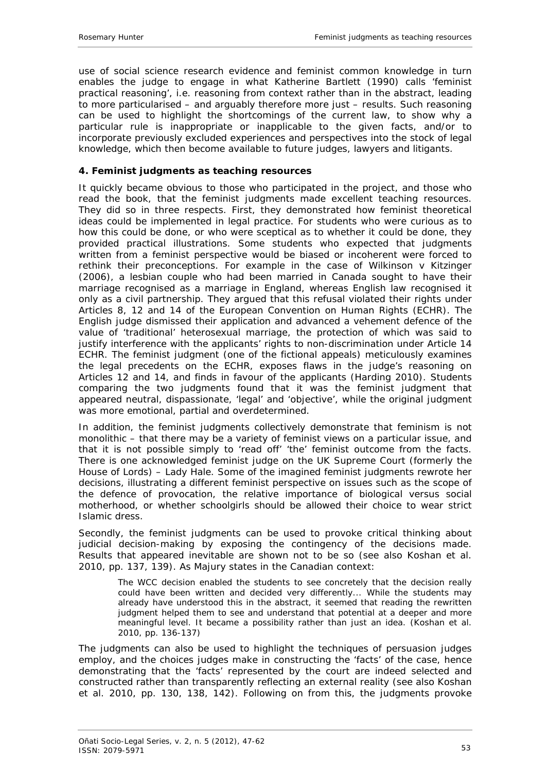use of social science research evidence and feminist common knowledge in turn enables the judge to engage in what Katherine Bartlett (1990) calls 'feminist practical reasoning', i.e. reasoning from context rather than in the abstract, leading to more particularised – and arguably therefore more just – results. Such reasoning can be used to highlight the shortcomings of the current law, to show why a particular rule is inappropriate or inapplicable to the given facts, and/or to incorporate previously excluded experiences and perspectives into the stock of legal knowledge, which then become available to future judges, lawyers and litigants.

## <span id="page-6-0"></span>**4. Feminist judgments as teaching resources**

It quickly became obvious to those who participated in the project, and those who read the book, that the feminist judgments made excellent teaching resources. They did so in three respects. First, they demonstrated how feminist theoretical ideas could be implemented in legal practice. For students who were curious as to how this could be done, or who were sceptical as to whether it could be done, they provided practical illustrations. Some students who expected that judgments written from a feminist perspective would be biased or incoherent were forced to rethink their preconceptions. For example in the case of *Wilkinson v Kitzinger* (2006), a lesbian couple who had been married in Canada sought to have their marriage recognised *as a marriage* in England, whereas English law recognised it only as a civil partnership. They argued that this refusal violated their rights under Articles 8, 12 and 14 of the European Convention on Human Rights (ECHR). The English judge dismissed their application and advanced a vehement defence of the value of 'traditional' heterosexual marriage, the protection of which was said to justify interference with the applicants' rights to non-discrimination under Article 14 ECHR. The feminist judgment (one of the fictional appeals) meticulously examines the legal precedents on the ECHR, exposes flaws in the judge's reasoning on Articles 12 and 14, and finds in favour of the applicants (Harding 2010). Students comparing the two judgments found that it was the *feminist* judgment that appeared neutral, dispassionate, 'legal' and 'objective', while the original judgment was more emotional, partial and overdetermined.

In addition, the feminist judgments collectively demonstrate that feminism is not monolithic – that there may be a variety of feminist views on a particular issue, and that it is not possible simply to 'read off' 'the' feminist outcome from the facts. There is one acknowledged feminist judge on the UK Supreme Court (formerly the House of Lords) – Lady Hale. Some of the imagined feminist judgments rewrote her decisions, illustrating a different feminist perspective on issues such as the scope of the defence of provocation, the relative importance of biological versus social motherhood, or whether schoolgirls should be allowed their choice to wear strict Islamic dress.

Secondly, the feminist judgments can be used to provoke critical thinking about judicial decision-making by exposing the contingency of the decisions made. Results that appeared inevitable are shown not to be so (see also Koshan *et al.* 2010, pp. 137, 139). As Majury states in the Canadian context:

The WCC decision enabled the students to see concretely that the decision really could have been written and decided very differently... While the students may already have understood this in the abstract, it seemed that reading the rewritten judgment helped them to see and understand that potential at a deeper and more meaningful level. It became a possibility rather than just an idea. (Koshan *et al.* 2010, pp. 136-137)

The judgments can also be used to highlight the techniques of persuasion judges employ, and the choices judges make in constructing the 'facts' of the case, hence demonstrating that the 'facts' represented by the court are indeed selected and constructed rather than transparently reflecting an external reality (see also Koshan *et al.* 2010, pp. 130, 138, 142). Following on from this, the judgments provoke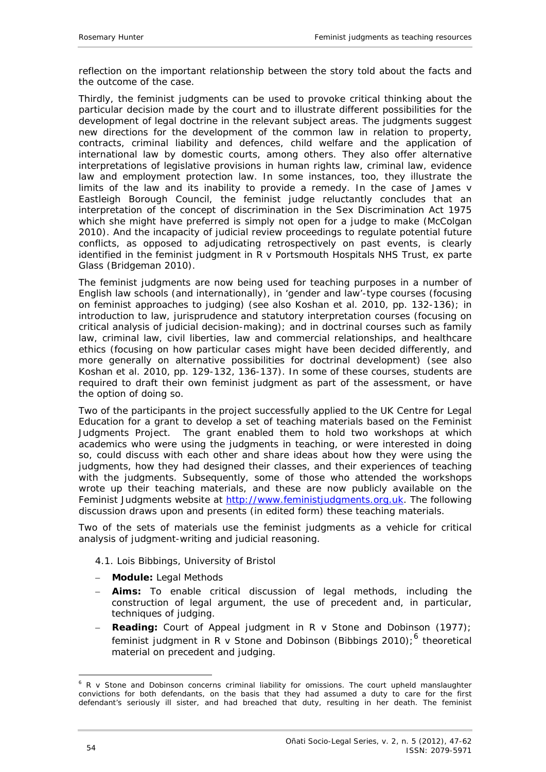reflection on the important relationship between the story told about the facts and the outcome of the case.

Thirdly, the feminist judgments can be used to provoke critical thinking about the particular decision made by the court and to illustrate different possibilities for the development of legal doctrine in the relevant subject areas. The judgments suggest new directions for the development of the common law in relation to property, contracts, criminal liability and defences, child welfare and the application of international law by domestic courts, among others. They also offer alternative interpretations of legislative provisions in human rights law, criminal law, evidence law and employment protection law. In some instances, too, they illustrate the limits of the law and its inability to provide a remedy. In the case of *James v Eastleigh Borough Council*, the feminist judge reluctantly concludes that an interpretation of the concept of discrimination in the Sex Discrimination Act 1975 which she might have preferred is simply not open for a judge to make (McColgan 2010). And the incapacity of judicial review proceedings to regulate potential future conflicts, as opposed to adjudicating retrospectively on past events, is clearly identified in the feminist judgment in *R v Portsmouth Hospitals NHS Trust, ex parte Glass* (Bridgeman 2010).

The feminist judgments are now being used for teaching purposes in a number of English law schools (and internationally), in 'gender and law'-type courses (focusing on feminist approaches to judging) (see also Koshan *et al.* 2010, pp. 132-136); in introduction to law, jurisprudence and statutory interpretation courses (focusing on critical analysis of judicial decision-making); and in doctrinal courses such as family law, criminal law, civil liberties, law and commercial relationships, and healthcare ethics (focusing on how particular cases might have been decided differently, and more generally on alternative possibilities for doctrinal development) (see also Koshan *et al.* 2010, pp. 129-132, 136-137). In some of these courses, students are required to draft their own feminist judgment as part of the assessment, or have the option of doing so.

Two of the participants in the project successfully applied to the UK Centre for Legal Education for a grant to develop a set of teaching materials based on the Feminist Judgments Project. The grant enabled them to hold two workshops at which academics who were using the judgments in teaching, or were interested in doing so, could discuss with each other and share ideas about how they were using the judgments, how they had designed their classes, and their experiences of teaching with the judgments. Subsequently, some of those who attended the workshops wrote up their teaching materials, and these are now publicly available on the Feminist Judgments website a[t http://www.feministjudgments.org.uk](http://www.feministjudgments.org.uk/). The following discussion draws upon and presents (in edited form) these teaching materials.

Two of the sets of materials use the feminist judgments as a vehicle for critical analysis of judgment-writing and judicial reasoning.

### <span id="page-7-0"></span>*4.1. Lois Bibbings, University of Bristol*

- − **Module:** Legal Methods
- − **Aims:** To enable critical discussion of legal methods, including the construction of legal argument, the use of precedent and, in particular, techniques of judging.
- − **Reading:** Court of Appeal judgment in *R v Stone and Dobinson* (1977); feminist judgment in *R v Stone and Dobinson* (Bibbings 2010);<sup>6</sup> theoretical material on precedent and judging.

<sup>1</sup> <sup>6</sup> *R v Stone and Dobinson* concerns criminal liability for omissions. The court upheld manslaughter convictions for both defendants, on the basis that they had assumed a duty to care for the first defendant's seriously ill sister, and had breached that duty, resulting in her death. The feminist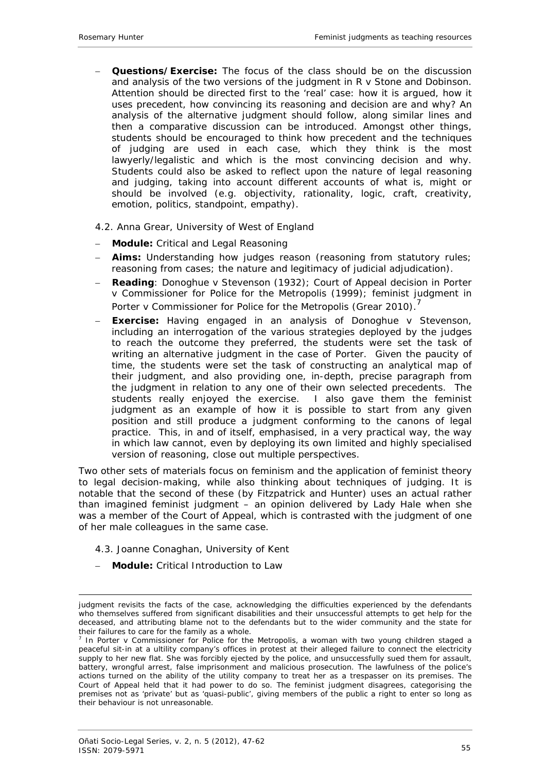− **Questions/Exercise:** The focus of the class should be on the discussion and analysis of the two versions of the judgment in *R v Stone and Dobinson*. Attention should be directed first to the 'real' case: how it is argued, how it uses precedent, how convincing its reasoning and decision are and why? An analysis of the alternative judgment should follow, along similar lines and then a comparative discussion can be introduced. Amongst other things, students should be encouraged to think how precedent and the techniques of judging are used in each case, which they think is the most lawyerly/legalistic and which is the most convincing decision and why. Students could also be asked to reflect upon the nature of legal reasoning and judging, taking into account different accounts of what is, might or should be involved (e.g. objectivity, rationality, logic, craft, creativity, emotion, politics, standpoint, empathy).

## <span id="page-8-0"></span>*4.2. Anna Grear, University of West of England*

- − **Module:** Critical and Legal Reasoning
- **Aims:** Understanding how judges reason (reasoning from statutory rules; reasoning from cases; the nature and legitimacy of judicial adjudication).
- − **Reading**: *Donoghue v Stevenson* (1932); Court of Appeal decision in *Porter v Commissioner for Police for the Metropolis* (1999); feminist judgment in *Porter v Commissioner for Police for the Metropolis* (Grear 2010).
- − **Exercise:** Having engaged in an analysis of *Donoghue v Stevenson*, including an interrogation of the various strategies deployed by the judges to reach the outcome they preferred, the students were set the task of writing an alternative judgment in the case of *Porter*. Given the paucity of time, the students were set the task of constructing an analytical map of their judgment, and also providing one, in-depth, precise paragraph from the judgment in relation to any one of their own selected precedents. The students really enjoyed the exercise. I also gave them the feminist judgment as an example of how it is possible to start from any given position and still produce a judgment conforming to the canons of legal practice. This, in and of itself, emphasised, in a very practical way, the way in which law cannot, even by deploying its own limited and highly specialised version of reasoning, close out multiple perspectives.

Two other sets of materials focus on feminism and the application of feminist theory to legal decision-making, while also thinking about techniques of judging. It is notable that the second of these (by Fitzpatrick and Hunter) uses an actual rather than imagined feminist judgment – an opinion delivered by Lady Hale when she was a member of the Court of Appeal, which is contrasted with the judgment of one of her male colleagues in the same case.

- <span id="page-8-1"></span>*4.3. Joanne Conaghan, University of Kent*
- − **Module:** Critical Introduction to Law

<sup>&</sup>lt;u>.</u> judgment revisits the facts of the case, acknowledging the difficulties experienced by the defendants who themselves suffered from significant disabilities and their unsuccessful attempts to get help for the deceased, and attributing blame not to the defendants but to the wider community and the state for their failures to care for the family as a whole.

<sup>7</sup> In *Porter v Commissioner for Police for the Metropolis*, a woman with two young children staged a peaceful sit-in at a ultility company's offices in protest at their alleged failure to connect the electricity supply to her new flat. She was forcibly ejected by the police, and unsuccessfully sued them for assault, battery, wrongful arrest, false imprisonment and malicious prosecution. The lawfulness of the police's actions turned on the ability of the utility company to treat her as a trespasser on its premises. The Court of Appeal held that it had power to do so. The feminist judgment disagrees, categorising the premises not as 'private' but as 'quasi-public', giving members of the public a right to enter so long as their behaviour is not unreasonable.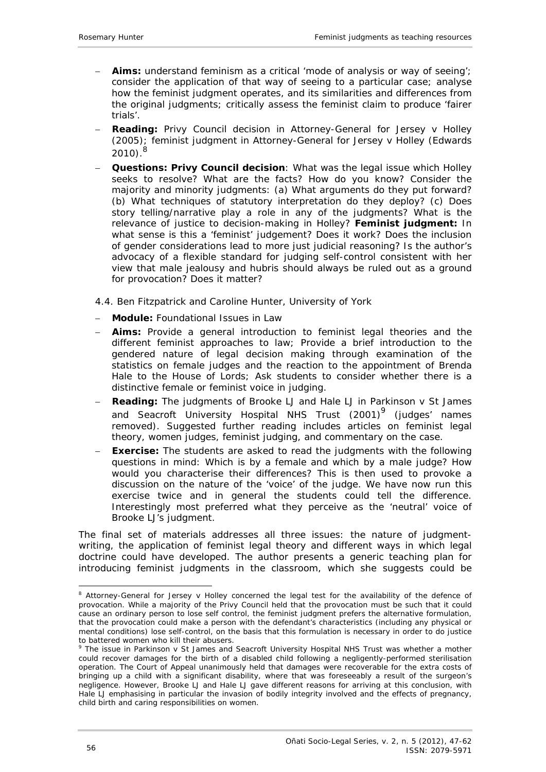- − **Aims:** understand feminism as a critical 'mode of analysis or *way of seeing*'; consider the application of that *way of seeing* to a particular case; analyse how the feminist judgment operates, and its similarities and differences from the original judgments; critically assess the feminist claim to produce 'fairer trials'.
- − **Reading:** Privy Council decision in *Attorney-General for Jersey v Holley* (2005); feminist judgment in *Attorney-General for Jersey v Holley* (Edwards  $2010$ .<sup>8</sup>
- − **Questions:** *Privy Council decision*: What was the legal issue which *Holley* seeks to resolve? What are the facts? How do you know? Consider the majority and minority judgments: (a) What arguments do they put forward? (b) What techniques of statutory interpretation do they deploy? (c) Does story telling/narrative play a role in any of the judgments? What is the relevance of justice to decision-making in *Holley*? *Feminist judgment:* In what sense is this a 'feminist' judgement? Does it work? Does the inclusion of gender considerations lead to more just judicial reasoning? Is the author's advocacy of a flexible standard for judging self-control consistent with her view that male jealousy and hubris should always be ruled out as a ground for provocation? Does it matter?

## <span id="page-9-0"></span>*4.4. Ben Fitzpatrick and Caroline Hunter, University of York*

- − **Module:** Foundational Issues in Law
- **Aims:** Provide a general introduction to feminist legal theories and the different feminist approaches to law; Provide a brief introduction to the gendered nature of legal decision making through examination of the statistics on female judges and the reaction to the appointment of Brenda Hale to the House of Lords; Ask students to consider whether there is a distinctive female or feminist voice in judging.
- − **Reading:** The judgments of Brooke LJ and Hale LJ in *Parkinson v St James and Seacroft University Hospital NHS Trust* (2001)9 (judges' names removed)*.* Suggested further reading includes articles on feminist legal theory, women judges, feminist judging, and commentary on the case.
- **Exercise:** The students are asked to read the judgments with the following questions in mind: Which is by a female and which by a male judge? How would you characterise their differences? This is then used to provoke a discussion on the nature of the 'voice' of the judge. We have now run this exercise twice and in general the students could tell the difference. Interestingly most preferred what they perceive as the 'neutral' voice of Brooke LJ's judgment.

The final set of materials addresses all three issues: the nature of judgmentwriting, the application of feminist legal theory and different ways in which legal doctrine could have developed. The author presents a generic teaching plan for introducing feminist judgments in the classroom, which she suggests could be

<u>.</u>

<sup>8</sup> *Attorney-General for Jersey v Holley* concerned the legal test for the availability of the defence of provocation. While a majority of the Privy Council held that the provocation must be such that it could cause an ordinary person to lose self control, the feminist judgment prefers the alternative formulation, that the provocation could make a person with the defendant's characteristics (including any physical or mental conditions) lose self-control, on the basis that this formulation is necessary in order to do justice to battered women who kill their abusers.

<sup>9</sup> The issue in *Parkinson v St James and Seacroft University Hospital NHS Trust* was whether a mother could recover damages for the birth of a disabled child following a negligently-performed sterilisation operation. The Court of Appeal unanimously held that damages were recoverable for the extra costs of bringing up a child with a significant disability, where that was foreseeably a result of the surgeon's negligence. However, Brooke LJ and Hale LJ gave different reasons for arriving at this conclusion, with Hale LJ emphasising in particular the invasion of bodily integrity involved and the effects of pregnancy, child birth and caring responsibilities on women.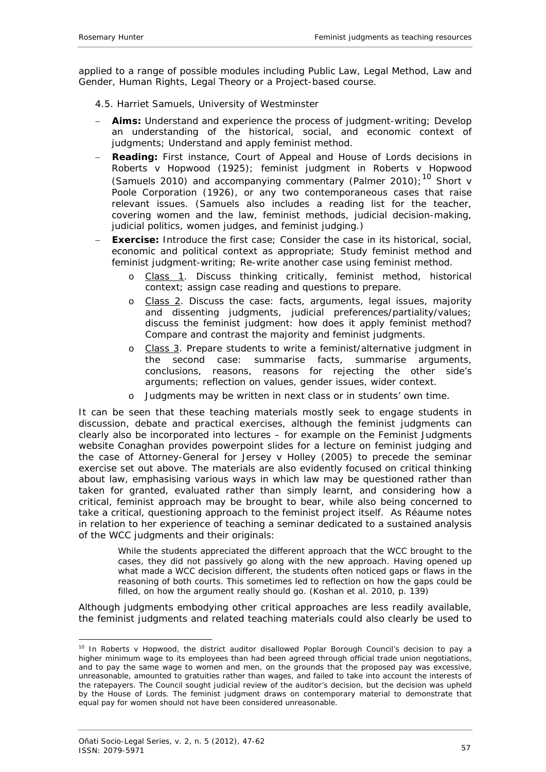applied to a range of possible modules including Public Law, Legal Method, Law and Gender, Human Rights, Legal Theory or a Project-based course.

<span id="page-10-0"></span>*4.5. Harriet Samuels, University of Westminster*

- **Aims:** Understand and experience the process of judgment-writing; Develop an understanding of the historical, social, and economic context of judgments; Understand and apply feminist method.
- **Reading:** First instance, Court of Appeal and House of Lords decisions in *Roberts v Hopwood* (1925); feminist judgment in *Roberts v Hopwood* (Samuels 2010) and accompanying commentary (Palmer 2010);10 *Short v Poole Corporation* (1926), or any two contemporaneous cases that raise relevant issues. (Samuels also includes a reading list for the teacher, covering women and the law, feminist methods, judicial decision-making, judicial politics, women judges, and feminist judging.)
- **Exercise:** Introduce the first case; Consider the case in its historical, social, economic and political context as appropriate; Study feminist method and feminist judgment-writing; Re-write another case using feminist method.
	- o Class 1. Discuss thinking critically, feminist method, historical context; assign case reading and questions to prepare.
	- o Class 2. Discuss the case: facts, arguments, legal issues, majority and dissenting judgments, judicial preferences/partiality/values; discuss the feminist judgment: how does it apply feminist method? Compare and contrast the majority and feminist judgments.
	- o Class 3. Prepare students to write a feminist/alternative judgment in the second case: summarise facts. summarise arguments. second case: summarise facts, summarise arguments, conclusions, reasons, reasons for rejecting the other side's arguments; reflection on values, gender issues, wider context.
	- o Judgments may be written in next class or in students' own time.

It can be seen that these teaching materials mostly seek to engage students in discussion, debate and practical exercises, although the feminist judgments can clearly also be incorporated into lectures – for example on the Feminist Judgments website Conaghan provides powerpoint slides for a lecture on feminist judging and the case of *Attorney-General for Jersey v Holley* (2005) to precede the seminar exercise set out above. The materials are also evidently focused on *critical* thinking about law, emphasising various ways in which law may be questioned rather than taken for granted, evaluated rather than simply learnt, and considering how a critical, feminist approach may be brought to bear, while also being concerned to take a critical, questioning approach to the feminist project itself. As Réaume notes in relation to her experience of teaching a seminar dedicated to a sustained analysis of the WCC judgments and their originals:

While the students appreciated the different approach that the WCC brought to the cases, they did not passively go along with the new approach. Having opened up what made a WCC decision different, the students often noticed gaps or flaws in the reasoning of both courts. This sometimes led to reflection on how the gaps could be filled, on how the argument *really* should go. (Koshan *et al.* 2010, p. 139)

Although judgments embodying other critical approaches are less readily available, the feminist judgments and related teaching materials could also clearly be used to

<sup>-</sup><sup>10</sup> In *Roberts v Hopwood*, the district auditor disallowed Poplar Borough Council's decision to pay a higher minimum wage to its employees than had been agreed through official trade union negotiations, and to pay the same wage to women and men, on the grounds that the proposed pay was excessive, unreasonable, amounted to gratuities rather than wages, and failed to take into account the interests of the ratepayers. The Council sought judicial review of the auditor's decision, but the decision was upheld by the House of Lords. The feminist judgment draws on contemporary material to demonstrate that equal pay for women should not have been considered unreasonable.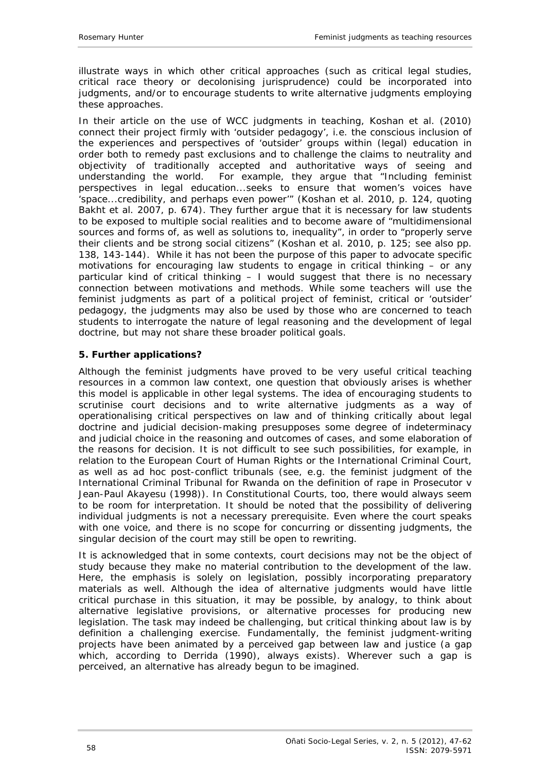illustrate ways in which other critical approaches (such as critical legal studies, critical race theory or decolonising jurisprudence) could be incorporated into judgments, and/or to encourage students to write alternative judgments employing these approaches.

In their article on the use of WCC judgments in teaching, Koshan *et al.* (2010) connect their project firmly with 'outsider pedagogy', i.e. the conscious inclusion of the experiences and perspectives of 'outsider' groups within (legal) education in order both to remedy past exclusions and to challenge the claims to neutrality and objectivity of traditionally accepted and authoritative ways of seeing and understanding the world. For example, they argue that "Including feminist perspectives in legal education...seeks to ensure that women's voices have 'space...credibility, and perhaps even power'" (Koshan *et al.* 2010, p. 124, quoting Bakht *et al.* 2007, p. 674). They further argue that it is necessary for law students to be exposed to multiple social realities and to become aware of "multidimensional sources and forms of, as well as solutions to, inequality", in order to "properly serve their clients and be strong social citizens" (Koshan *et al.* 2010, p. 125; see also pp. 138, 143-144). While it has not been the purpose of this paper to advocate specific motivations for encouraging law students to engage in critical thinking – or any particular kind of critical thinking – I would suggest that there is no *necessary*  connection between motivations and methods. While some teachers will use the feminist judgments as part of a political project of feminist, critical or 'outsider' pedagogy, the judgments may also be used by those who are concerned to teach students to interrogate the nature of legal reasoning and the development of legal doctrine, but may not share these broader political goals.

## <span id="page-11-0"></span>**5. Further applications?**

Although the feminist judgments have proved to be very useful critical teaching resources in a common law context, one question that obviously arises is whether this model is applicable in other legal systems. The idea of encouraging students to scrutinise court decisions and to write alternative judgments as a way of operationalising critical perspectives on law and of thinking critically about legal doctrine and judicial decision-making presupposes some degree of indeterminacy and judicial choice in the reasoning and outcomes of cases, and some elaboration of the reasons for decision. It is not difficult to see such possibilities, for example, in relation to the European Court of Human Rights or the International Criminal Court, as well as ad hoc post-conflict tribunals (see, e.g. the feminist judgment of the International Criminal Tribunal for Rwanda on the definition of rape in *Prosecutor v Jean-Paul Akayesu* (1998)). In Constitutional Courts, too, there would always seem to be room for interpretation. It should be noted that the possibility of delivering individual judgments is not a necessary prerequisite. Even where the court speaks with one voice, and there is no scope for concurring or dissenting judgments, the singular decision of the court may still be open to rewriting.

It is acknowledged that in some contexts, court decisions may not be the object of study because they make no material contribution to the development of the law. Here, the emphasis is solely on legislation, possibly incorporating preparatory materials as well. Although the idea of alternative judgments would have little critical purchase in this situation, it may be possible, by analogy, to think about alternative legislative provisions, or alternative processes for producing new legislation. The task may indeed be challenging, but critical thinking about law is by definition a challenging exercise. Fundamentally, the feminist judgment-writing projects have been animated by a perceived gap between law and justice (a gap which, according to Derrida (1990), always exists). Wherever such a gap is perceived, an alternative has already begun to be imagined.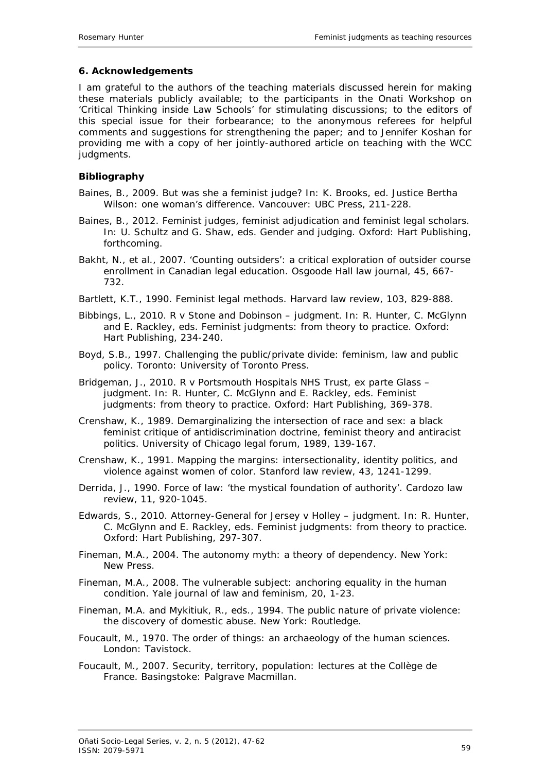## <span id="page-12-0"></span>**6. Acknowledgements**

I am grateful to the authors of the teaching materials discussed herein for making these materials publicly available; to the participants in the Onati Workshop on 'Critical Thinking inside Law Schools' for stimulating discussions; to the editors of this special issue for their forbearance; to the anonymous referees for helpful comments and suggestions for strengthening the paper; and to Jennifer Koshan for providing me with a copy of her jointly-authored article on teaching with the WCC judaments.

## <span id="page-12-1"></span>**Bibliography**

- Baines, B., 2009. But was she a feminist judge? *In*: K. Brooks, ed. *Justice Bertha Wilson: one woman's difference*. Vancouver: UBC Press, 211-228.
- Baines, B., 2012. Feminist judges, feminist adjudication and feminist legal scholars. *In*: U. Schultz and G. Shaw, eds. *Gender and judging*. Oxford: Hart Publishing, forthcoming.
- Bakht, N., *et al.*, 2007. 'Counting outsiders': a critical exploration of outsider course enrollment in Canadian legal education. *Osgoode Hall law journal,* 45, 667- 732.
- Bartlett, K.T., 1990. Feminist legal methods. *Harvard law review,* 103, 829-888.
- Bibbings, L., 2010. *R v Stone and Dobinson* judgment. *In*: R. Hunter, C. McGlynn and E. Rackley, eds. *Feminist judgments: from theory to practice*. Oxford: Hart Publishing, 234-240.
- Boyd, S.B., 1997. *Challenging the public/private divide: feminism, law and public policy*. Toronto: University of Toronto Press.
- Bridgeman, J., 2010. *R v Portsmouth Hospitals NHS Trust, ex parte Glass* judgment. *In*: R. Hunter, C. McGlynn and E. Rackley, eds. *Feminist judgments: from theory to practice*. Oxford: Hart Publishing, 369-378.
- Crenshaw, K., 1989. Demarginalizing the intersection of race and sex: a black feminist critique of antidiscrimination doctrine, feminist theory and antiracist politics. *University of Chicago legal forum,* 1989, 139-167.
- Crenshaw, K., 1991. Mapping the margins: intersectionality, identity politics, and violence against women of color. *Stanford law review,* 43, 1241-1299.
- Derrida, J., 1990. Force of law: 'the mystical foundation of authority'. *Cardozo law review,* 11, 920-1045.
- Edwards, S., 2010. *Attorney-General for Jersey v Holley* judgment. *In*: R. Hunter, C. McGlynn and E. Rackley, eds. *Feminist judgments: from theory to practice*. Oxford: Hart Publishing, 297-307.
- Fineman, M.A., 2004. *The autonomy myth: a theory of dependency*. New York: New Press.
- Fineman, M.A., 2008. The vulnerable subject: anchoring equality in the human condition. *Yale journal of law and feminism,* 20, 1-23.
- Fineman, M.A. and Mykitiuk, R., eds., 1994. *The public nature of private violence: the discovery of domestic abuse*. New York: Routledge.
- Foucault, M., 1970. *The order of things: an archaeology of the human sciences*. London: Tavistock.
- Foucault, M., 2007. *Security, territory, population: lectures at the Collège de France*. Basingstoke: Palgrave Macmillan.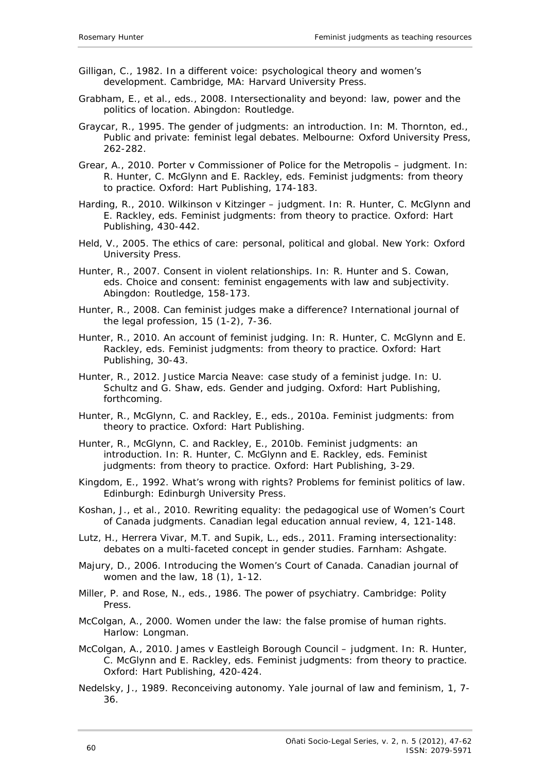- Gilligan, C., 1982. *In a different voice: psychological theory and women's development*. Cambridge, MA: Harvard University Press.
- Grabham, E., *et al.*, eds., 2008. *Intersectionality and beyond: law, power and the politics of location*. Abingdon: Routledge.
- Graycar, R., 1995. The gender of judgments: an introduction. *In*: M. Thornton, ed., *Public and private: feminist legal debates*. Melbourne: Oxford University Press, 262-282.
- Grear, A., 2010. *Porter v Commissioner of Police for the Metropolis* judgment. *In*: R. Hunter, C. McGlynn and E. Rackley, eds. *Feminist judgments: from theory to practice*. Oxford: Hart Publishing, 174-183.
- Harding, R., 2010. *Wilkinson v Kitzinger* judgment. *In*: R. Hunter, C. McGlynn and E. Rackley, eds. *Feminist judgments: from theory to practice*. Oxford: Hart Publishing, 430-442.
- Held, V., 2005. *The ethics of care: personal, political and global*. New York: Oxford University Press.
- Hunter, R., 2007. Consent in violent relationships. *In*: R. Hunter and S. Cowan, eds. *Choice and consent: feminist engagements with law and subjectivity.* Abingdon: Routledge, 158-173.
- Hunter, R., 2008. Can *feminist* judges make a difference? *International journal of the legal profession,* 15 (1-2), 7-36.
- Hunter, R., 2010. An account of feminist judging. *In*: R. Hunter, C. McGlynn and E. Rackley, eds. *Feminist judgments: from theory to practice*. Oxford: Hart Publishing, 30-43.
- Hunter, R., 2012. Justice Marcia Neave: case study of a feminist judge. *In*: U. Schultz and G. Shaw, eds. *Gender and judging*. Oxford: Hart Publishing, forthcoming.
- Hunter, R., McGlynn, C. and Rackley, E., eds., 2010a. *Feminist judgments: from theory to practice*. Oxford: Hart Publishing.
- Hunter, R., McGlynn, C. and Rackley, E., 2010b. Feminist judgments: an introduction. *In*: R. Hunter, C. McGlynn and E. Rackley, eds. *Feminist judgments: from theory to practice*. Oxford: Hart Publishing, 3-29.
- Kingdom, E., 1992. *What's wrong with rights? Problems for feminist politics of law*. Edinburgh: Edinburgh University Press.
- Koshan, J., *et al*., 2010. Rewriting equality: the pedagogical use of Women's Court of Canada judgments. *Canadian legal education annual review,* 4, 121-148.
- Lutz, H., Herrera Vivar, M.T. and Supik, L., eds., 2011. *Framing intersectionality: debates on a multi-faceted concept in gender studies*. Farnham: Ashgate.
- Majury, D., 2006. Introducing the Women's Court of Canada. *Canadian journal of women and the law,* 18 (1), 1-12.
- Miller, P. and Rose, N., eds., 1986. *The power of psychiatry*. Cambridge: Polity Press.
- McColgan, A., 2000. *Women under the law: the false promise of human rights*. Harlow: Longman.
- McColgan, A., 2010. *James v Eastleigh Borough Council* judgment. *In*: R. Hunter, C. McGlynn and E. Rackley, eds. *Feminist judgments: from theory to practice*. Oxford: Hart Publishing, 420-424.
- Nedelsky, J., 1989. Reconceiving autonomy. *Yale journal of law and feminism,* 1, 7- 36.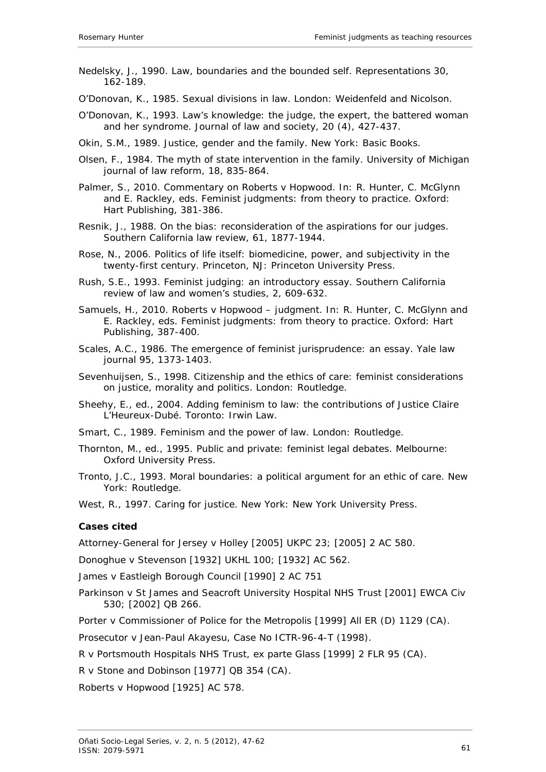- Nedelsky, J., 1990. Law, boundaries and the bounded self. *Representations* 30, 162-189.
- O'Donovan, K., 1985. *Sexual divisions in law*. London: Weidenfeld and Nicolson.
- O'Donovan, K., 1993. Law's knowledge: the judge, the expert, the battered woman and her syndrome. *Journal of law and society,* 20 (4), 427-437.
- Okin, S.M., 1989. *Justice, gender and the family*. New York: Basic Books.
- Olsen, F., 1984. The myth of state intervention in the family. *University of Michigan journal of law reform,* 18, 835-864.
- Palmer, S., 2010. Commentary on *Roberts v Hopwood*. *In*: R. Hunter, C. McGlynn and E. Rackley, eds. *Feminist judgments: from theory to practice*. Oxford: Hart Publishing, 381-386.
- Resnik, J., 1988. On the bias: reconsideration of the aspirations for our judges. *Southern California law review,* 61, 1877-1944.
- Rose, N., 2006. *Politics of life itself: biomedicine, power, and subjectivity in the twenty-first century*. Princeton, NJ: Princeton University Press.
- Rush, S.E., 1993. Feminist judging: an introductory essay*. Southern California review of law and women's studies,* 2, 609-632.
- Samuels, H., 2010. *Roberts v Hopwood* judgment. *In*: R. Hunter, C. McGlynn and E. Rackley, eds. *Feminist judgments: from theory to practice*. Oxford: Hart Publishing, 387-400.
- Scales, A.C., 1986. The emergence of feminist jurisprudence: an essay. *Yale law journal* 95, 1373-1403.
- Sevenhuijsen, S., 1998. *Citizenship and the ethics of care: feminist considerations on justice, morality and politics*. London: Routledge.
- Sheehy, E., ed., 2004. *Adding feminism to law: the contributions of Justice Claire L'Heureux-Dubé*. Toronto: Irwin Law.
- Smart, C., 1989. *Feminism and the power of law*. London: Routledge.
- Thornton, M., ed., 1995. *Public and private: feminist legal debates*. Melbourne: Oxford University Press.
- Tronto, J.C., 1993. *Moral boundaries: a political argument for an ethic of care*. New York: Routledge.

West, R., 1997. *Caring for justice*. New York: New York University Press.

### <span id="page-14-0"></span>**Cases cited**

Attorney-General for Jersey v Holley [2005] UKPC 23; [2005] 2 AC 580.

Donoghue v Stevenson [1932] UKHL 100; [1932] AC 562.

James v Eastleigh Borough Council [1990] 2 AC 751

Parkinson v St James and Seacroft University Hospital NHS Trust [2001] EWCA Civ 530; [2002] QB 266.

Porter v Commissioner of Police for the Metropolis [1999] All ER (D) 1129 (CA).

Prosecutor v Jean-Paul Akayesu, Case No ICTR-96-4-T (1998).

R v Portsmouth Hospitals NHS Trust, ex parte Glass [1999] 2 FLR 95 (CA).

R v Stone and Dobinson [1977] QB 354 (CA).

Roberts v Hopwood [1925] AC 578.